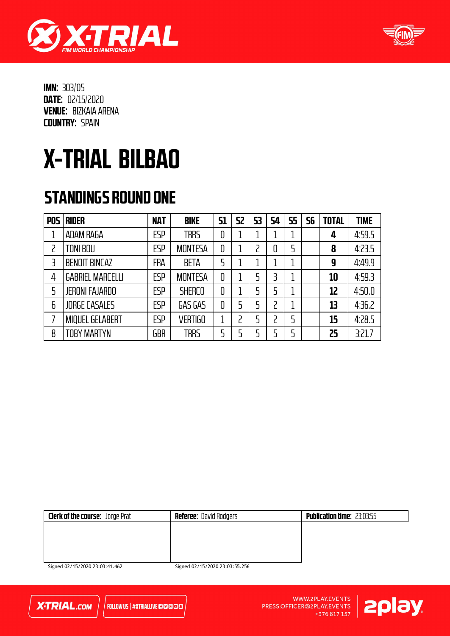



# X-TRIAL BILBAO

### STANDINGS ROUND ONE

| <b>POS</b> | <b>RIDER</b>            | <b>NAT</b> | <b>BIKE</b>    | <b>S1</b> | <b>S2</b> | 53 | 54 | <b>S5</b> | 56 | <b>TOTAL</b> | <b>TIME</b> |
|------------|-------------------------|------------|----------------|-----------|-----------|----|----|-----------|----|--------------|-------------|
|            | ADAM RAGA               | ESP        | <b>TRRS</b>    | 0         |           |    |    |           |    | 4            | 4:59.5      |
|            | <b>TONI BOU</b>         | <b>ESP</b> | <b>MONTESA</b> | 0         |           | フ  | 0  | 5         |    | 8            | 4:23.5      |
| 3          | <b>BENOIT BINCAZ</b>    | <b>FRA</b> | <b>BETA</b>    | 5         |           |    |    | 1         |    | 9            | 4:49.9      |
| 4          | <b>GABRIEL MARCELLI</b> | ESP        | <b>MONTESA</b> | 0         |           | 5  | 3  | 1         |    | 10           | 4:59.3      |
| 5          | <b>JERONI FAJARDO</b>   | <b>ESP</b> | <b>SHERCO</b>  | 0         |           | 5  | 5  |           |    | 12           | 4:50.0      |
| 6          | <b>JORGE CASALES</b>    | ESP        | GAS GAS        | 0         | 5         | 5  |    |           |    | 13           | 4:36.2      |
|            | <b>MIQUEL GELABERT</b>  | ESP        | <b>VERTIGO</b> |           |           | 5  |    | 5         |    | 15           | 4:28.5      |
| 8          | <b>TOBY MARTYN</b>      | GBR        | <b>TRRS</b>    | 5         | 5         | ς  |    | 5         |    | 25           | 3:21.7      |

| Clerk of the course: Jorge Prat | <b>Referee:</b> David Rodgers | <b>Publication time: 23:03:55</b> |
|---------------------------------|-------------------------------|-----------------------------------|
|                                 |                               |                                   |
|                                 |                               |                                   |
|                                 |                               |                                   |
|                                 |                               |                                   |

Signed 02/15/2020 23:03:41.462



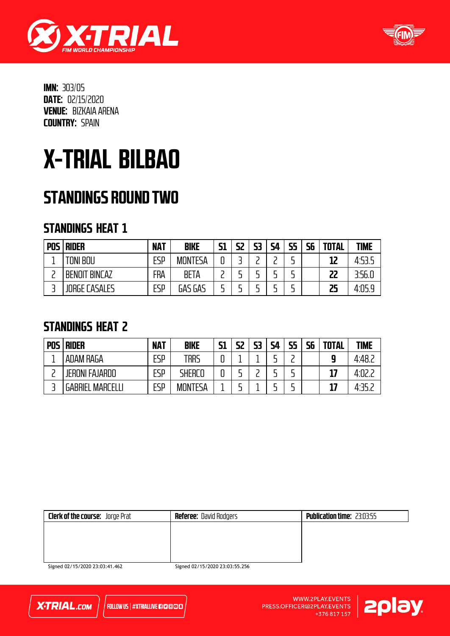



### X-TRIAL BILBAO

### STANDINGS ROUND TWO

### STANDINGS HEAT 1

| POS I | <b>RIDER</b>         | <b>NAT</b> | <b>BIKE</b>    | <b>S1</b> | 52 | 53 | <b>S4</b> | <b>S5</b> | <b>S6</b> | <b>TOTAL</b> | <b>TIME</b> |
|-------|----------------------|------------|----------------|-----------|----|----|-----------|-----------|-----------|--------------|-------------|
|       | <b>TONI BOU</b>      | <b>ESP</b> | <b>MONTESA</b> | C         |    |    |           | -         |           | 12           | 4:53.5      |
|       | <b>BENOIT BINCAZ</b> | <b>FRA</b> | <b>BETA</b>    |           |    |    |           | -         |           | 22           | 3:56.0      |
|       | <b>JORGE CASALES</b> | <b>ESP</b> | GAS GAS        |           |    |    |           | -         |           | 25           | 4:05.9      |

### STANDINGS HEAT 2

| <b>POS</b> | <b>RIDER</b>                    | <b>NAT</b> | <b>BIKE</b>    | <b>S1</b> | 52 | 53 | <b>S4</b> | 55<br>-- | 56 | <b>TOTAL</b> | <b>TIME</b> |
|------------|---------------------------------|------------|----------------|-----------|----|----|-----------|----------|----|--------------|-------------|
|            | ADAM RAGA                       | ESP        | TRRS           | ┍         |    |    |           |          |    | 0            | 4.48.c      |
|            | <b>JERONI FAJARDO</b>           | ESP        | SHERCO         |           |    |    |           |          |    | 17           | 4:02.       |
|            | <b>MARCELL</b><br><b>GABRIE</b> | ESP        | <b>MONTESA</b> |           |    |    |           |          |    | 17           | 4 R J       |

| <b>Clerk of the course:</b> Jorge Prat | <b>Referee: David Rodgers</b> | <b>Publication time: 23:03:55</b> |
|----------------------------------------|-------------------------------|-----------------------------------|
|                                        |                               |                                   |
|                                        |                               |                                   |
|                                        |                               |                                   |
| $C_{1} = 102145120202203144$           | $C = 1021451202022555557$     |                                   |

Signed 02/15/2020 23:03:41.462



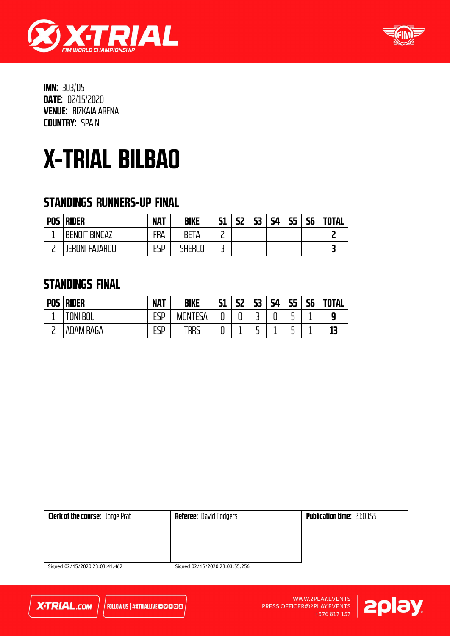



## X-TRIAL BILBAO

### STANDINGS RUNNERS-UP FINAL

| <b>POS</b> | <b>RIDER</b>                | <b>NAT</b> | <b>BIKE</b>   | 51 | 52<br>- 11 | C٦<br>נכ | 54 | כב | cс<br>סכ | <b>TOTAL</b> |
|------------|-----------------------------|------------|---------------|----|------------|----------|----|----|----------|--------------|
|            | rint<br><b>BENOI</b><br>'AΖ | FRA        | BE<br>۱A      | -  |            |          |    |    |          |              |
|            | JERONI FAJARDO              | FCD<br>ட⊐ா | <b>FHERLL</b> | -  |            |          |    |    |          |              |

#### STANDINGS FINAL

| <b>POS</b> | <b>RIDER</b> | <b>NAT</b> | <b>BIKE</b>    | C1<br>נכ | 52            | 53 | ς4<br>┙╹ | כק<br>. . | 56 | <b>TOTAL</b> |
|------------|--------------|------------|----------------|----------|---------------|----|----------|-----------|----|--------------|
|            | 1NI<br>BOU   | ESP        | <b>MONTESA</b> | u        | <u>ີ</u><br>u |    | ч        | -         |    |              |
| −          | ADAM RAGA    | FSD<br>டபா | trrs           | u        | -             | -  |          | -         |    |              |

| <b>Clerk of the course:</b> Jorge Prat | <b>Referee:</b> David Rodgers | <b>Publication time: 23:03:55</b> |
|----------------------------------------|-------------------------------|-----------------------------------|
|                                        |                               |                                   |
|                                        |                               |                                   |
|                                        |                               |                                   |
|                                        |                               |                                   |

Signed 02/15/2020 23:03:41.462



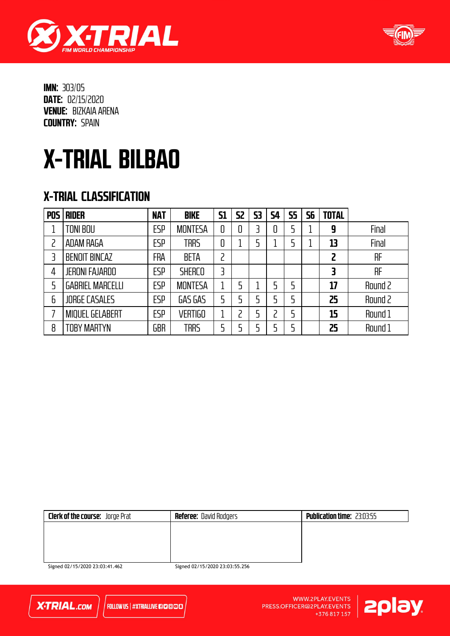



# X-TRIAL BILBAO

### X-TRIAL CLASSIFICATION

| <b>POS</b> | <b>RIDER</b>            | <b>NAT</b> | <b>BIKE</b>    | <b>S1</b> | <b>S2</b> | 53 | <b>S4</b> | <b>S5</b> | 56 | <b>TOTAL</b> |         |
|------------|-------------------------|------------|----------------|-----------|-----------|----|-----------|-----------|----|--------------|---------|
|            | TONI BOU                | ESP        | <b>MONTESA</b> | 0         | 0         |    |           |           |    | 9            | Final   |
|            | <b>ADAM RAGA</b>        | ESP        | <b>TRRS</b>    | 0         |           |    |           |           |    | 13           | Final   |
| 3          | <b>BENOIT BINCAZ</b>    | FRA        | <b>BETA</b>    | 2         |           |    |           |           |    | 2            | RF      |
| 4          | <b>JERONI FAJARDO</b>   | ESP        | <b>SHERCO</b>  | 3         |           |    |           |           |    |              | RF      |
|            | <b>GABRIEL MARCELLI</b> | ESP        | <b>MONTESA</b> | 1         | 5         |    | 5         |           |    | 17           | Round 2 |
| 6          | <b>JORGE CASALES</b>    | ESP        | GAS GAS        | 5         | 5         |    | 5         |           |    | 25           | Round 2 |
|            | <b>MIQUEL GELABERT</b>  | ESP        | <b>VERTIGO</b> | 1<br>┻    |           |    |           |           |    | 15           | Round 1 |
| 8          | TOBY MARTYN             | GBR        | <b>TRRS</b>    | 5         |           |    |           |           |    | 25           | Round 1 |

| <b>Clerk of the course:</b> Jorge Prat | <b>Referee: David Rodgers</b> | <b>Publication time: 23:03:55</b> |
|----------------------------------------|-------------------------------|-----------------------------------|
|                                        |                               |                                   |
|                                        |                               |                                   |
|                                        |                               |                                   |
|                                        |                               |                                   |

Signed 02/15/2020 23:03:41.462